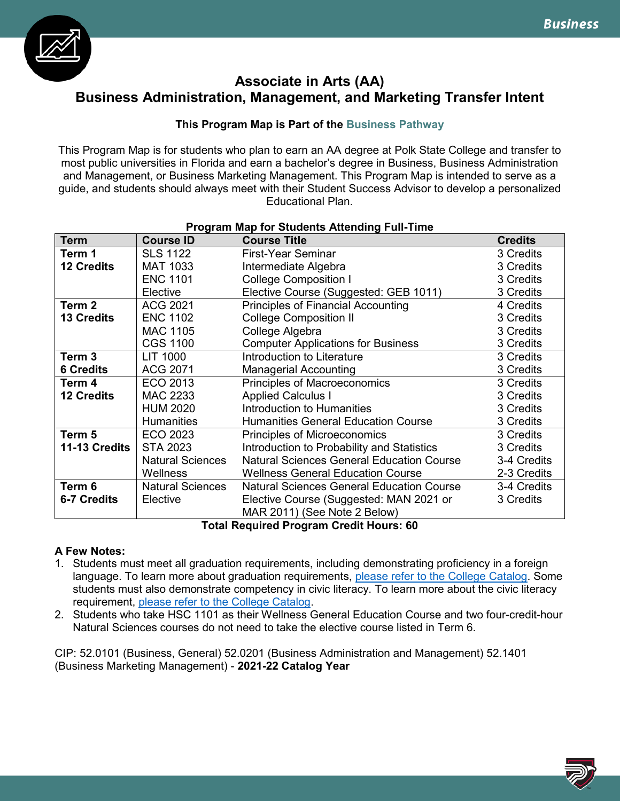

# **Associate in Arts (AA) Business Administration, Management, and Marketing Transfer Intent**

# **This Program Map is Part of the Business Pathway**

This Program Map is for students who plan to earn an AA degree at Polk State College and transfer to most public universities in Florida and earn a bachelor's degree in Business, Business Administration and Management, or Business Marketing Management. This Program Map is intended to serve as a guide, and students should always meet with their Student Success Advisor to develop a personalized Educational Plan.

| <b>Program Map for Students Attending Full-Time</b> |                         |                                                  |                |  |
|-----------------------------------------------------|-------------------------|--------------------------------------------------|----------------|--|
| <b>Term</b>                                         | <b>Course ID</b>        | <b>Course Title</b>                              | <b>Credits</b> |  |
| Term 1                                              | <b>SLS 1122</b>         | First-Year Seminar                               | 3 Credits      |  |
| <b>12 Credits</b>                                   | <b>MAT 1033</b>         | Intermediate Algebra                             | 3 Credits      |  |
|                                                     | <b>ENC 1101</b>         | <b>College Composition I</b>                     | 3 Credits      |  |
|                                                     | Elective                | Elective Course (Suggested: GEB 1011)            | 3 Credits      |  |
| Term <sub>2</sub>                                   | <b>ACG 2021</b>         | <b>Principles of Financial Accounting</b>        | 4 Credits      |  |
| <b>13 Credits</b>                                   | <b>ENC 1102</b>         | <b>College Composition II</b>                    | 3 Credits      |  |
|                                                     | <b>MAC 1105</b>         | College Algebra                                  | 3 Credits      |  |
|                                                     | <b>CGS 1100</b>         | <b>Computer Applications for Business</b>        | 3 Credits      |  |
| Term 3                                              | LIT 1000                | Introduction to Literature                       | 3 Credits      |  |
| <b>6 Credits</b>                                    | <b>ACG 2071</b>         | <b>Managerial Accounting</b>                     | 3 Credits      |  |
| Term 4                                              | ECO 2013                | Principles of Macroeconomics                     | 3 Credits      |  |
| <b>12 Credits</b>                                   | <b>MAC 2233</b>         | <b>Applied Calculus I</b>                        | 3 Credits      |  |
|                                                     | <b>HUM 2020</b>         | Introduction to Humanities                       | 3 Credits      |  |
|                                                     | Humanities              | <b>Humanities General Education Course</b>       | 3 Credits      |  |
| Term 5                                              | ECO 2023                | Principles of Microeconomics                     | 3 Credits      |  |
| 11-13 Credits                                       | <b>STA 2023</b>         | Introduction to Probability and Statistics       | 3 Credits      |  |
|                                                     | <b>Natural Sciences</b> | <b>Natural Sciences General Education Course</b> | 3-4 Credits    |  |
|                                                     | Wellness                | <b>Wellness General Education Course</b>         | 2-3 Credits    |  |
| Term 6                                              | <b>Natural Sciences</b> | <b>Natural Sciences General Education Course</b> | 3-4 Credits    |  |
| <b>6-7 Credits</b>                                  | Elective                | Elective Course (Suggested: MAN 2021 or          | 3 Credits      |  |
|                                                     |                         | MAR 2011) (See Note 2 Below)                     |                |  |

**Total Required Program Credit Hours: 60**

# **A Few Notes:**

- 1. Students must meet all graduation requirements, including demonstrating proficiency in a foreign language. To learn more about graduation requirements, [please refer to the College Catalog.](http://catalog.polk.edu/content.php?catoid=40&navoid=2766) Some students must also demonstrate competency in civic literacy. To learn more about the civic literacy requirement, [please refer to the College Catalog.](http://catalog.polk.edu/content.php?catoid=40&navoid=2781)
- 2. Students who take HSC 1101 as their Wellness General Education Course and two four-credit-hour Natural Sciences courses do not need to take the elective course listed in Term 6.

CIP: 52.0101 (Business, General) 52.0201 (Business Administration and Management) 52.1401 (Business Marketing Management) - **2021-22 Catalog Year**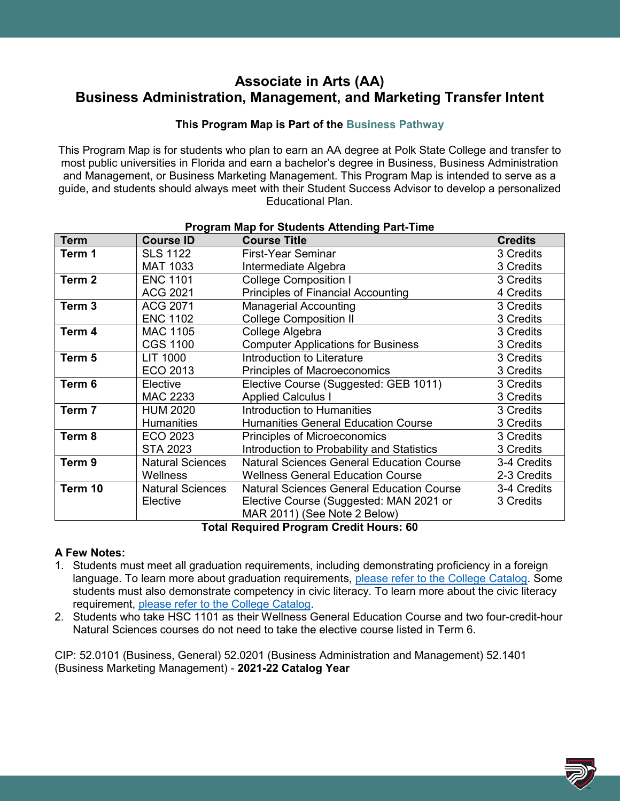# **Associate in Arts (AA) Business Administration, Management, and Marketing Transfer Intent**

## **This Program Map is Part of the Business Pathway**

This Program Map is for students who plan to earn an AA degree at Polk State College and transfer to most public universities in Florida and earn a bachelor's degree in Business, Business Administration and Management, or Business Marketing Management. This Program Map is intended to serve as a guide, and students should always meet with their Student Success Advisor to develop a personalized Educational Plan.

| Program wap for Students Attending Part-Time |                         |                                                  |                |  |
|----------------------------------------------|-------------------------|--------------------------------------------------|----------------|--|
| <b>Term</b>                                  | <b>Course ID</b>        | <b>Course Title</b>                              | <b>Credits</b> |  |
| Term 1                                       | <b>SLS 1122</b>         | <b>First-Year Seminar</b>                        | 3 Credits      |  |
|                                              | <b>MAT 1033</b>         | Intermediate Algebra                             | 3 Credits      |  |
| Term 2                                       | <b>ENC 1101</b>         | <b>College Composition I</b>                     | 3 Credits      |  |
|                                              | <b>ACG 2021</b>         | <b>Principles of Financial Accounting</b>        | 4 Credits      |  |
| Term <sub>3</sub>                            | <b>ACG 2071</b>         | <b>Managerial Accounting</b>                     | 3 Credits      |  |
|                                              | <b>ENC 1102</b>         | <b>College Composition II</b>                    | 3 Credits      |  |
| Term 4                                       | <b>MAC 1105</b>         | College Algebra                                  | 3 Credits      |  |
|                                              | <b>CGS 1100</b>         | <b>Computer Applications for Business</b>        | 3 Credits      |  |
| Term 5                                       | <b>LIT 1000</b>         | Introduction to Literature                       | 3 Credits      |  |
|                                              | ECO 2013                | <b>Principles of Macroeconomics</b>              | 3 Credits      |  |
| Term 6                                       | Elective                | Elective Course (Suggested: GEB 1011)            | 3 Credits      |  |
|                                              | MAC 2233                | <b>Applied Calculus I</b>                        | 3 Credits      |  |
| Term 7                                       | <b>HUM 2020</b>         | Introduction to Humanities                       | 3 Credits      |  |
|                                              | <b>Humanities</b>       | <b>Humanities General Education Course</b>       | 3 Credits      |  |
| Term 8                                       | ECO 2023                | Principles of Microeconomics                     | 3 Credits      |  |
|                                              | <b>STA 2023</b>         | Introduction to Probability and Statistics       | 3 Credits      |  |
| Term 9                                       | <b>Natural Sciences</b> | <b>Natural Sciences General Education Course</b> | 3-4 Credits    |  |
|                                              | Wellness                | <b>Wellness General Education Course</b>         | 2-3 Credits    |  |
| Term 10                                      | <b>Natural Sciences</b> | <b>Natural Sciences General Education Course</b> | 3-4 Credits    |  |
|                                              | Elective                | Elective Course (Suggested: MAN 2021 or          | 3 Credits      |  |
|                                              |                         | MAR 2011) (See Note 2 Below)                     |                |  |
| Tatal Damilyad Duampur Ouadit Harryar CO     |                         |                                                  |                |  |

## **Program Map for Students Attending Part-Time**

**Total Required Program Credit Hours: 60**

### **A Few Notes:**

- 1. Students must meet all graduation requirements, including demonstrating proficiency in a foreign language. To learn more about graduation requirements, [please refer to the College Catalog.](http://catalog.polk.edu/content.php?catoid=40&navoid=2766) Some students must also demonstrate competency in civic literacy. To learn more about the civic literacy requirement, [please refer to the College Catalog.](http://catalog.polk.edu/content.php?catoid=40&navoid=2781)
- 2. Students who take HSC 1101 as their Wellness General Education Course and two four-credit-hour Natural Sciences courses do not need to take the elective course listed in Term 6.

CIP: 52.0101 (Business, General) 52.0201 (Business Administration and Management) 52.1401 (Business Marketing Management) - **2021-22 Catalog Year**